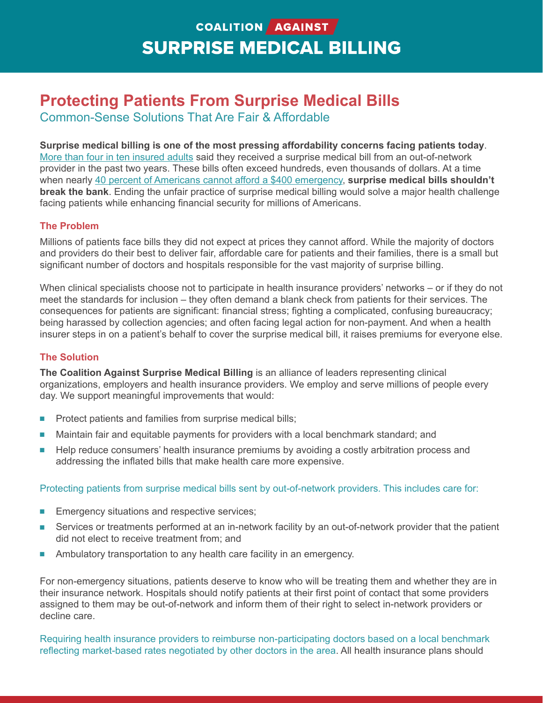# COALITION AGAINST **SURPRISE MEDICAL BILLING**

## **Protecting Patients From Surprise Medical Bills**

Common-Sense Solutions That Are Fair & Affordable

**Surprise medical billing is one of the most pressing affordability concerns facing patients today**. More than four in ten insured adults said they received a surprise medical bill from an out-of-network provider in the past two years. These bills often exceed hundreds, even thousands of dollars. At a time when nearly 40 percent of Americans cannot afford a \$400 emergency, **surprise medical bills shouldn't break the bank**. Ending the unfair practice of surprise medical billing would solve a major health challenge facing patients while enhancing financial security for millions of Americans.

### **The Problem**

Millions of patients face bills they did not expect at prices they cannot afford. While the majority of doctors and providers do their best to deliver fair, affordable care for patients and their families, there is a small but significant number of doctors and hospitals responsible for the vast majority of surprise billing.

When clinical specialists choose not to participate in health insurance providers' networks – or if they do not meet the standards for inclusion – they often demand a blank check from patients for their services. The consequences for patients are significant: financial stress; fighting a complicated, confusing bureaucracy; being harassed by collection agencies; and often facing legal action for non-payment. And when a health insurer steps in on a patient's behalf to cover the surprise medical bill, it raises premiums for everyone else.

### **The Solution**

**The Coalition Against Surprise Medical Billing** is an alliance of leaders representing clinical organizations, employers and health insurance providers. We employ and serve millions of people every day. We support meaningful improvements that would:

- **n** Protect patients and families from surprise medical bills;
- **n** Maintain fair and equitable payments for providers with a local benchmark standard; and
- Help reduce consumers' health insurance premiums by avoiding a costly arbitration process and addressing the inflated bills that make health care more expensive.

### Protecting patients from surprise medical bills sent by out-of-network providers. This includes care for:

- **Emergency situations and respective services;**
- **EXECT** Services or treatments performed at an in-network facility by an out-of-network provider that the patient did not elect to receive treatment from; and
- **n** Ambulatory transportation to any health care facility in an emergency.

For non-emergency situations, patients deserve to know who will be treating them and whether they are in their insurance network. Hospitals should notify patients at their first point of contact that some providers assigned to them may be out-of-network and inform them of their right to select in-network providers or decline care.

Requiring health insurance providers to reimburse non-participating doctors based on a local benchmark reflecting market-based rates negotiated by other doctors in the area. All health insurance plans should